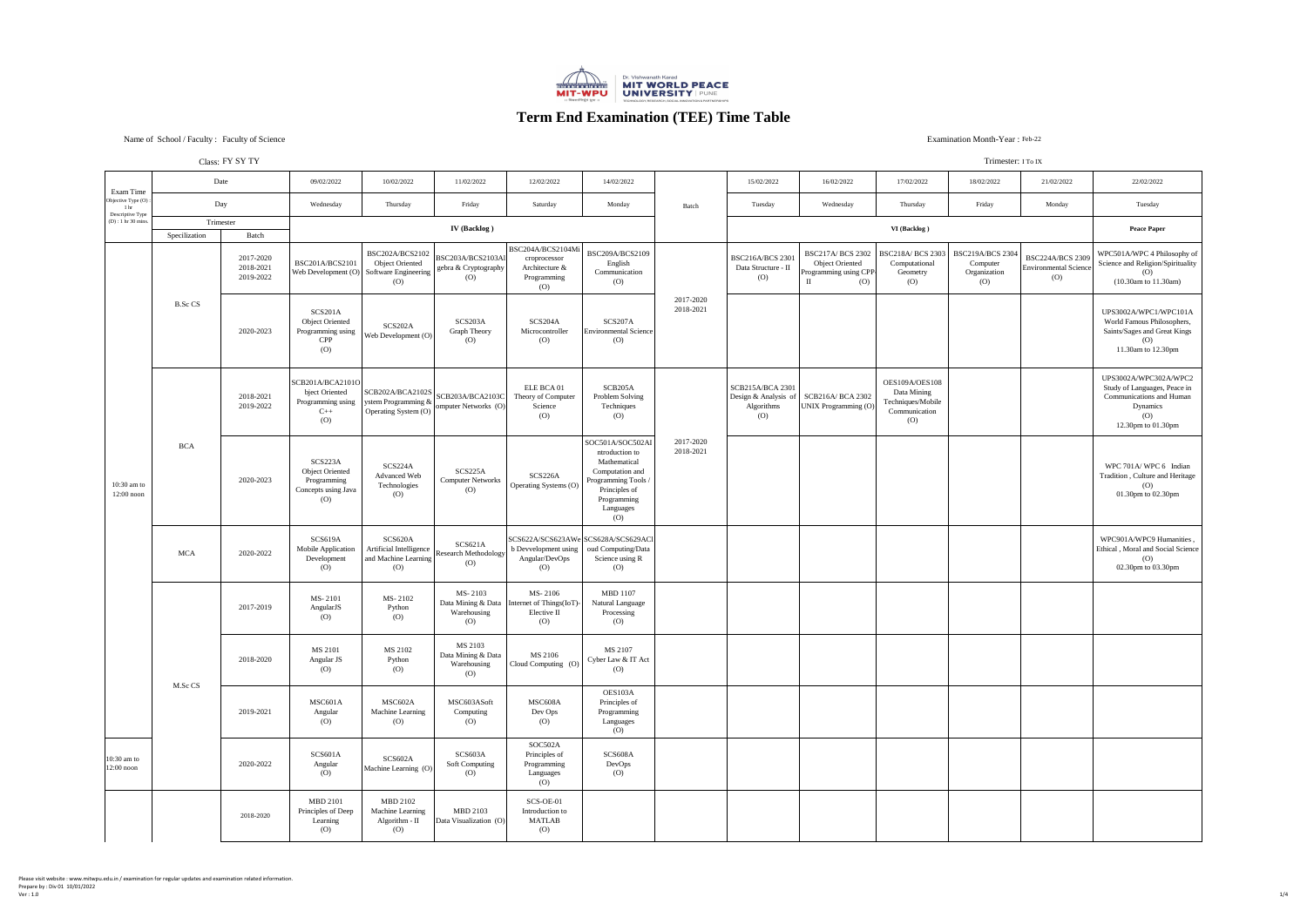#### Class: FY SY TY

Please visit website : www.mitwpu.edu.in / examination for regular updates and examination related information. Prepare by : Div 01 10/01/2022  $1/4$ 



# **Term End Examination (TEE) Time Table**

### Examination Month-Year: Feb-22

#### Trimester: I To IX

|                                                            | CIASS. I'1.01.11       |                                     | 111111C51C1.1101A                                                              |                                                                                                                                             |                                                                 |                                                                                                                          |                                                                                                                                                                |                        |                                                            |                                                                                     |                                                                            |                                                                                       |                                                                              |                                                                                                                                                 |
|------------------------------------------------------------|------------------------|-------------------------------------|--------------------------------------------------------------------------------|---------------------------------------------------------------------------------------------------------------------------------------------|-----------------------------------------------------------------|--------------------------------------------------------------------------------------------------------------------------|----------------------------------------------------------------------------------------------------------------------------------------------------------------|------------------------|------------------------------------------------------------|-------------------------------------------------------------------------------------|----------------------------------------------------------------------------|---------------------------------------------------------------------------------------|------------------------------------------------------------------------------|-------------------------------------------------------------------------------------------------------------------------------------------------|
| Exam Time                                                  |                        | Date                                | 09/02/2022                                                                     | 10/02/2022                                                                                                                                  | 11/02/2022                                                      | 12/02/2022                                                                                                               | 14/02/2022                                                                                                                                                     |                        | 15/02/2022                                                 | 16/02/2022                                                                          | 17/02/2022                                                                 | 18/02/2022                                                                            | 21/02/2022                                                                   | 22/02/2022                                                                                                                                      |
| Objective Type (O):<br>1 <sub>hr</sub><br>Descriptive Type |                        | Day                                 |                                                                                | Thursday                                                                                                                                    | Friday                                                          | Saturday                                                                                                                 | Monday                                                                                                                                                         | Batch                  | Tuesday                                                    | Wednesday                                                                           | Thursday                                                                   | Friday                                                                                | Monday                                                                       | Tuesday                                                                                                                                         |
| (D) : 1 hr 30 mins.                                        | Trimester              |                                     |                                                                                |                                                                                                                                             |                                                                 |                                                                                                                          |                                                                                                                                                                |                        |                                                            |                                                                                     |                                                                            |                                                                                       |                                                                              |                                                                                                                                                 |
|                                                            | Specilization<br>Batch |                                     |                                                                                |                                                                                                                                             | <b>IV</b> (Backlog)                                             |                                                                                                                          |                                                                                                                                                                |                        |                                                            |                                                                                     | VI (Backlog)                                                               |                                                                                       |                                                                              | <b>Peace Paper</b>                                                                                                                              |
| $10:30$ am to<br>$12:00$ noon                              |                        | 2017-2020<br>2018-2021<br>2019-2022 | BSC201A/BCS2101                                                                | BSC202A/BCS2102<br><b>Object Oriented</b><br>Web Development $(O)$ Software Engineering  <br>$\left( 0 \right)$                             | BSC203A/BCS2103A1 <br>gebra & Cryptography<br>$\left( 0\right)$ | BSC204A/BCS2104Mi<br>croprocessor<br>Architecture &<br>Programming<br>$\left( 0\right)$                                  | BSC209A/BCS2109<br>English<br>Communication<br>(O)                                                                                                             | 2017-2020<br>2018-2021 | <b>BSC216A/BCS 2301</b><br>Data Structure - II<br>(0)      | <b>BSC217A/ BCS 2302</b><br><b>Object Oriented</b><br>Programming using CPP-<br>(O) | Computational<br>Geometry<br>$\left( 0\right)$                             | BSC218A/ BCS 2303   BSC219A/BCS 2304<br>Computer<br>Organization<br>$\left( 0\right)$ | <b>BSC224A/BCS 2309</b><br><b>Environmental Science</b><br>$\left( 0\right)$ | WPC501A/WPC 4 Philosophy of<br>Science and Religion/Spirituality<br>(O)<br>$(10.30am)$ to $11.30am)$                                            |
|                                                            | <b>B.Sc CS</b>         | 2020-2023                           | SCS201A<br><b>Object Oriented</b><br>Programming using<br><b>CPP</b><br>(0)    | SCS202A<br>$\boxed{\text{Web Development (O)}}$                                                                                             | SCS203A<br><b>Graph Theory</b><br>$\left( 0\right)$             | SCS204A<br>Microcontroller<br>$\left( 0\right)$                                                                          | SCS207A<br><b>Environmental Science</b><br>$\left( 0\right)$                                                                                                   |                        |                                                            |                                                                                     |                                                                            |                                                                                       |                                                                              | UPS3002A/WPC1/WPC101A<br>World Famous Philosophers,<br>Saints/Sages and Great Kings<br>(0)<br>11.30am to 12.30pm                                |
|                                                            | <b>BCA</b>             | 2018-2021<br>2019-2022              | SCB201A/BCA2101O <br>(O)                                                       | bject Oriented<br>Programming using<br>C++ SCB202A/BCA2102S<br>Operating & SCB203A/BCA2103C<br>Operating System (O)<br>Operating System (O) |                                                                 | ELE BCA 01<br>Theory of Computer<br>Science<br>(O)                                                                       | SCB <sub>205</sub> A<br>Problem Solving<br>Techniques<br>(0)                                                                                                   | 2017-2020<br>2018-2021 | <b>SCB215A/BCA 2301</b><br>Algorithms<br>$\left( 0\right)$ | Design & Analysis of   SCB216A/ BCA 2302<br>UNIX Programming (O)                    | OES109A/OES108<br>Data Mining<br>Techniques/Mobile<br>Communication<br>(O) |                                                                                       |                                                                              | UPS3002A/WPC302A/WPC2<br>Study of Languages, Peace in<br><b>Communications and Human</b><br>Dynamics<br>$\left( 0\right)$<br>12.30pm to 01.30pm |
|                                                            |                        | 2020-2023                           | SCS223A<br><b>Object Oriented</b><br>Programming<br>Concepts using Java<br>(O) | SCS224A<br><b>Advanced Web</b><br>Technologies<br>(O)                                                                                       | SCS225A<br><b>Computer Networks</b><br>$\left( 0\right)$        | SCS226A<br>Operating Systems (O)                                                                                         | SOC501A/SOC502AI<br>ntroduction to<br>Mathematical<br>Computation and<br>Programming Tools /<br>Principles of<br>Programming<br>Languages<br>$\left( 0\right)$ |                        |                                                            |                                                                                     |                                                                            |                                                                                       |                                                                              | WPC 701A/WPC 6 Indian<br>Tradition, Culture and Heritage<br>(O)<br>01.30pm to 02.30pm                                                           |
|                                                            | <b>MCA</b>             | 2020-2022                           | SCS619A<br><b>Mobile Application</b><br>Development<br>(O)                     | SCS620A<br>Artificial Intelligence Research Methodology $\vert$<br>and Machine Learning<br>$\left( 0\right)$                                | SCS621A<br>(0)                                                  | SCS622A/SCS623AWe SCS628A/SCS629AC1 <br>b Devvelopment using   oud Computing/Data<br>Angular/DevOps<br>$\left( 0\right)$ | Science using R<br>$\left( 0\right)$                                                                                                                           |                        |                                                            |                                                                                     |                                                                            |                                                                                       |                                                                              | WPC901A/WPC9 Humanities,<br>Ethical, Moral and Social Science<br>(O)<br>02.30pm to 03.30pm                                                      |
|                                                            |                        | 2017-2019                           | MS-2101<br>AngularJS<br>(O)                                                    | MS-2102<br>Python<br>$\left( 0\right)$                                                                                                      | MS-2103<br>Warehousing<br>(0)                                   | MS-2106<br>Data Mining & Data   Internet of Things (IoT)-<br>Elective II<br>$\left( 0\right)$                            | <b>MBD</b> 1107<br>Natural Language<br>Processing<br>$\left( 0\right)$                                                                                         |                        |                                                            |                                                                                     |                                                                            |                                                                                       |                                                                              |                                                                                                                                                 |
|                                                            | M.Sc CS                | 2018-2020                           | MS 2101<br>Angular JS<br>(O)                                                   | MS 2102<br>Python<br>$\left($ O                                                                                                             | MS 2103<br>Data Mining & Data<br>Warehousing<br>(O)             | MS 2106<br>Cloud Computing (O)                                                                                           | MS 2107<br>Cyber Law & IT Act<br>$\left( 0\right)$                                                                                                             |                        |                                                            |                                                                                     |                                                                            |                                                                                       |                                                                              |                                                                                                                                                 |
|                                                            |                        | 2019-2021                           | MSC601A<br>Angular<br>(O)                                                      | MSC602A<br><b>Machine Learning</b><br>(O)                                                                                                   | MSC603ASoft<br>Computing<br>$\left( 0\right)$                   | MSC608A<br>Dev Ops<br>$\left( 0\right)$                                                                                  | OES103A<br>Principles of<br>Programming<br>Languages<br>$\left( 0 \right)$                                                                                     |                        |                                                            |                                                                                     |                                                                            |                                                                                       |                                                                              |                                                                                                                                                 |
| $10:30$ am to<br>$12:00$ noon                              |                        | 2020-2022                           | SCS601A<br>Angular<br>(O)                                                      | SCS602A<br>Machine Learning (O)                                                                                                             | SCS603A<br>Soft Computing<br>(0)                                | SOC502A<br>Principles of<br>Programming<br>Languages<br>(0)                                                              | SCS608A<br>DevOps<br>$\left( 0\right)$                                                                                                                         |                        |                                                            |                                                                                     |                                                                            |                                                                                       |                                                                              |                                                                                                                                                 |
|                                                            |                        | 2018-2020                           | <b>MBD 2101</b><br>Principles of Deep<br>Learning<br>(O)                       | MBD 2102<br><b>Machine Learning</b><br>Algorithm - II<br>(O)                                                                                | MBD 2103<br>Data Visualization (O)                              | SCS-OE-01<br>Introduction to<br><b>MATLAB</b><br>$\left( 0\right)$                                                       |                                                                                                                                                                |                        |                                                            |                                                                                     |                                                                            |                                                                                       |                                                                              |                                                                                                                                                 |
|                                                            |                        |                                     |                                                                                |                                                                                                                                             |                                                                 |                                                                                                                          |                                                                                                                                                                |                        |                                                            |                                                                                     |                                                                            |                                                                                       |                                                                              |                                                                                                                                                 |

## Name of School / Faculty : Faculty of Science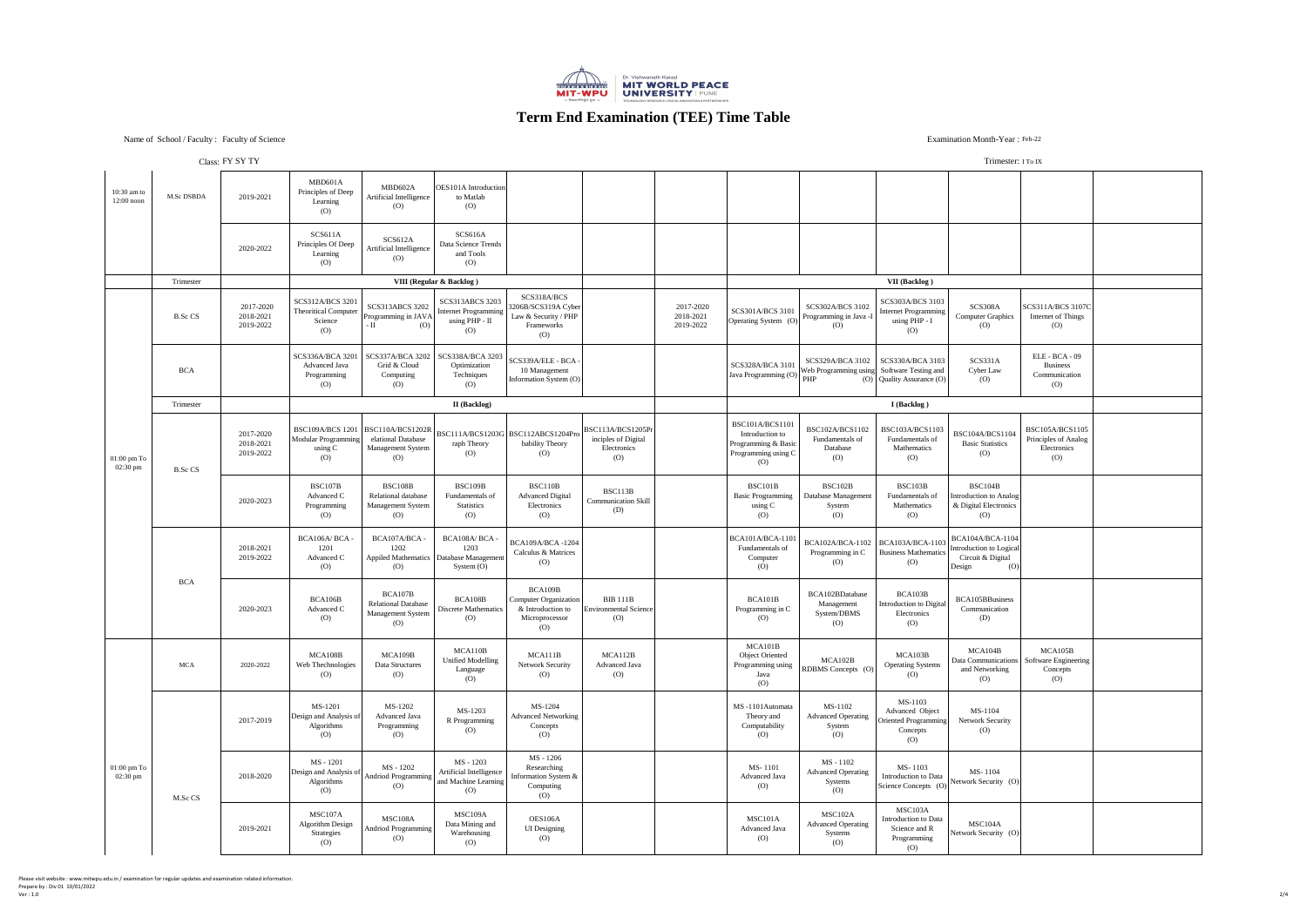# **Term End Examination (TEE) Time Table**

### Examination Month-Year: Feb-22

#### Trimester: I To IX

## Name of School / Faculty : Faculty of Science

|                                             |                | C1433.11.01.11                      |                                                                                 |                                                                                              |                                                                                 |                                                                                                                                                           |                                                                 |                                     |                                                                                                |                                                                                            |                                                                                                    | $111111 \cup 1011$ , $11011$                                                             |                                                                                    |  |
|---------------------------------------------|----------------|-------------------------------------|---------------------------------------------------------------------------------|----------------------------------------------------------------------------------------------|---------------------------------------------------------------------------------|-----------------------------------------------------------------------------------------------------------------------------------------------------------|-----------------------------------------------------------------|-------------------------------------|------------------------------------------------------------------------------------------------|--------------------------------------------------------------------------------------------|----------------------------------------------------------------------------------------------------|------------------------------------------------------------------------------------------|------------------------------------------------------------------------------------|--|
| $10:30$ am to<br>$12:00$ noon               | M.Sc DSBDA     | 2019-2021                           | MBD601A<br>Principles of Deep<br>Learning<br>$\left( 0\right)$                  | MBD602A<br><b>Artificial Intelligence</b><br>(O)                                             | <b>OES101A</b> Introduction<br>to Matlab<br>(O)                                 |                                                                                                                                                           |                                                                 |                                     |                                                                                                |                                                                                            |                                                                                                    |                                                                                          |                                                                                    |  |
|                                             |                | 2020-2022                           | SCS611A<br>Principles Of Deep<br>Learning<br>$\left( 0\right)$                  | SCS612A<br>Artificial Intelligence<br>(O)                                                    | SCS616A<br>Data Science Trends<br>and Tools<br>$\overline{O}$                   |                                                                                                                                                           |                                                                 |                                     |                                                                                                |                                                                                            |                                                                                                    |                                                                                          |                                                                                    |  |
|                                             | Trimester      |                                     |                                                                                 |                                                                                              | VIII (Regular & Backlog)                                                        |                                                                                                                                                           |                                                                 |                                     |                                                                                                |                                                                                            | <b>VII</b> (Backlog)                                                                               |                                                                                          |                                                                                    |  |
|                                             | B.Sc CS        | 2017-2020<br>2018-2021<br>2019-2022 | <b>SCS312A/BCS 3201</b><br>Theoritical Computer<br>Science<br>$\left( 0\right)$ | <b>SCS313ABCS 3202</b><br>Programming in JAVA<br>(O)                                         | <b>SCS313ABCS 3203</b><br>Internet Programming<br>using PHP - II<br>(O)         | SCS318A/BCS<br>3206B/SCS319A Cyber<br>Law & Security / PHP<br>Frameworks<br>(O)                                                                           |                                                                 | 2017-2020<br>2018-2021<br>2019-2022 | SCS301A/BCS 3101<br>Operating System (O)                                                       | <b>SCS302A/BCS 3102</b><br>Programming in Java -I<br>$\left( 0 \right)$                    | <b>SCS303A/BCS 3103</b><br>Internet Programming<br>using PHP - I<br>(O)                            | SCS308A<br><b>Computer Graphics</b><br>(O)                                               | SCS311A/BCS3107C <br>Internet of Things<br>$\left( 0\right)$                       |  |
|                                             | <b>BCA</b>     |                                     | <b>Advanced Java</b><br>Programming<br>$\left( 0\right)$                        | SCS336A/BCA 3201   SCS337A/BCA 3202   SCS338A/BCA 3203  <br>Grid & Cloud<br>Computing<br>(O) | Optimization<br>Techniques<br>(O)                                               | $SCS339A/ELE - BCA -$<br>10 Management<br>Information System (O)                                                                                          |                                                                 |                                     | SCS328A/BCA 3101<br>Java Programming (O)                                                       | SCS329A/BCA 3102   SCS330A/BCA 3103<br> Web Programming using  Software Testing and<br>PHP | (O) Quality Assurance (O)                                                                          | SCS331A<br>Cyber Law<br>(O)                                                              | ELE - BCA - 09<br><b>Business</b><br>Communication<br>$\overline{O}$               |  |
|                                             | Trimester      |                                     |                                                                                 |                                                                                              | <b>II</b> (Backlog)                                                             |                                                                                                                                                           |                                                                 |                                     |                                                                                                |                                                                                            | <b>I</b> (Backlog)                                                                                 |                                                                                          |                                                                                    |  |
| $01:00 \text{ pm To}$<br>$02:30 \text{ pm}$ | <b>B.Sc CS</b> | 2017-2020<br>2018-2021<br>2019-2022 | Modular Programming<br>using C<br>(O)                                           | elational Database<br><b>Management System</b><br>$\left( 0\right)$                          | raph Theory<br>(O)                                                              | $\mid \text{BSC109A/BCS 1201}\mid \text{BSC110A/BCS1202R}\mid \text{BSC111A/BCS1203G}\mid \text{BSC112ABCS1204Pro}\mid\text{A}$<br>bability Theory<br>(O) | BSC113A/BCS1205Pr <br>inciples of Digital<br>Electronics<br>(O) |                                     | <b>BSC101A/BCS1101</b><br>Introduction to<br>Programming & Basic<br>Programming using C<br>(0) | BSC102A/BCS1102<br>Fundamentals of<br>Database<br>$\left( 0\right)$                        | <b>BSC103A/BCS1103</b><br>Fundamentals of<br>Mathematics<br>(0)                                    | BSC104A/BCS1104<br><b>Basic Statistics</b><br>(0)                                        | BSC105A/BCS1105<br><b>Principles of Analog</b><br>Electronics<br>$\left( 0\right)$ |  |
|                                             |                | 2020-2023                           | <b>BSC107B</b><br>Advanced C<br>Programming<br>(0)                              | BSC108B<br>Relational database<br><b>Management System</b><br>$\left( 0\right)$              | <b>BSC109B</b><br>Fundamentals of<br><b>Statistics</b><br>(0)                   | BSC110B<br><b>Advanced Digital</b><br>Electronics<br>(O)                                                                                                  | BSC113B<br><b>Communication Skill</b><br>(D)                    |                                     | BSC101B<br><b>Basic Programming</b><br>using C<br>(0)                                          | BSC102B<br>Database Management<br>System<br>(0)                                            | BSC103B<br>Fundamentals of<br>Mathematics<br>(O)                                                   | BSC104B<br>Introduction to Analog<br>& Digital Electronics<br>(0)                        |                                                                                    |  |
|                                             | <b>BCA</b>     | 2018-2021<br>2019-2022              | BCA106A/ BCA -<br>1201<br>Advanced C<br>(O)                                     | BCA107A/BCA-<br>1202<br>(O)                                                                  | BCA108A/BCA-<br>1203<br>Appiled Mathematics   Database Management<br>System (O) | BCA109A/BCA-1204<br><b>Calculus &amp; Matrices</b><br>(O)                                                                                                 |                                                                 |                                     | <b>BCA101A/BCA-110</b><br>Fundamentals of<br>Computer<br>(0)                                   | BCA102A/BCA-1102   BCA103A/BCA-1103<br>Programming in C<br>(0)                             | <b>Business Mathematics</b><br>$\left( 0\right)$                                                   | <b>BCA104A/BCA-1104</b><br>Introduction to Logical<br>Circuit & Digital<br>(O)<br>Design |                                                                                    |  |
|                                             |                | 2020-2023                           | BCA106B<br>Advanced C<br>(0)                                                    | BCA107B<br><b>Relational Database</b><br><b>Management System</b><br>(O)                     | BCA108B<br>Discrete Mathematics<br>(O)                                          | BCA109B<br>Computer Organization<br>& Introduction to<br>Microprocessor<br>(O)                                                                            | <b>BIB 111B</b><br><b>Environmental Science</b><br>(O)          |                                     | BCA101B<br>Programming in C<br>(0)                                                             | BCA102BDatabase<br>Management<br>System/DBMS<br>$\left( 0\right)$                          | BCA103B<br>Introduction to Digital<br>Electronics<br>(0)                                           | BCA105BBusiness<br>Communication<br>(D)                                                  |                                                                                    |  |
|                                             | <b>MCA</b>     | 2020-2022                           | MCA108B<br>Web Thechnologies<br>$\left( 0\right)$                               | MCA109B<br>Data Structures<br>(O)                                                            | MCA110B<br><b>Unified Modelling</b><br>Language<br>(O)                          | MCA111B<br><b>Network Security</b><br>(O)                                                                                                                 | MCA112B<br><b>Advanced Java</b><br>(O)                          |                                     | MCA101B<br><b>Object Oriented</b><br>Programming using<br>Java<br>(0)                          | MCA102B<br>RDBMS Concepts (O)                                                              | MCA103B<br><b>Operating Systems</b><br>(O)                                                         | MCA104B<br>and Networking<br>(0)                                                         | MCA105B<br>Data Communications   Software Engineering<br>Concepts<br>(O)           |  |
|                                             |                | 2017-2019                           | MS-1201<br>Design and Analysis of<br>Algorithms<br>(0)                          | MS-1202<br><b>Advanced Java</b><br>Programming<br>$\left( 0\right)$                          | MS-1203<br>R Programming<br>(O)                                                 | MS-1204<br><b>Advanced Networking</b><br>Concepts<br>(O)                                                                                                  |                                                                 |                                     | MS-1101Automata<br>Theory and<br>Computability<br>(0)                                          | MS-1102<br><b>Advanced Operating</b><br>System<br>$\left( 0\right)$                        | MS-1103<br><b>Advanced Object</b><br><b>Oriented Programming</b><br>Concepts<br>$\left( 0 \right)$ | MS-1104<br><b>Network Security</b><br>(O)                                                |                                                                                    |  |
| $01:00 \text{ pm To}$<br>02:30 pm           | M.Sc CS        | 2018-2020                           | MS - 1201<br>Design and Analysis of<br>Algorithms<br>(0)                        | MS - 1202<br>Andriod Programming <sup>1</sup><br>(O)                                         | MS - 1203<br>Artificial Intelligence<br>and Machine Learning<br>$\overline{O}$  | MS - 1206<br>Researching<br>Information System &<br>Computing<br>(O)                                                                                      |                                                                 |                                     | MS-1101<br><b>Advanced Java</b><br>$\left( 0\right)$                                           | MS - 1102<br><b>Advanced Operating</b><br>Systems<br>(O)                                   | MS-1103<br>Science Concepts (O)                                                                    | MS-1104<br>Introduction to Data $\bigg $ Network Security (O)                            |                                                                                    |  |
|                                             |                | 2019-2021                           | MSC107A<br><b>Algorithm Design</b><br>Strategies<br>$\left( 0\right)$           | MSC108A<br>Andriod Programming<br>(O)                                                        | MSC109A<br>Data Mining and<br>Warehousing<br>$\left( 0\right)$                  | OES106A<br><b>UI</b> Designing<br>(O)                                                                                                                     |                                                                 |                                     | MSC101A<br><b>Advanced Java</b><br>(0)                                                         | MSC102A<br><b>Advanced Operating</b><br>Systems<br>$\left( 0\right)$                       | MSC103A<br>Introduction to Data<br>Science and R<br>Programming<br>(O)                             | MSC104A<br>Network Security (O)                                                          |                                                                                    |  |

Class: FY SY TY

Please visit website : www.mitwpu.edu.in / examination for regular updates and examination related information. Prepare by : Div 01 10/01/2022 Ver : 1.0 2/4

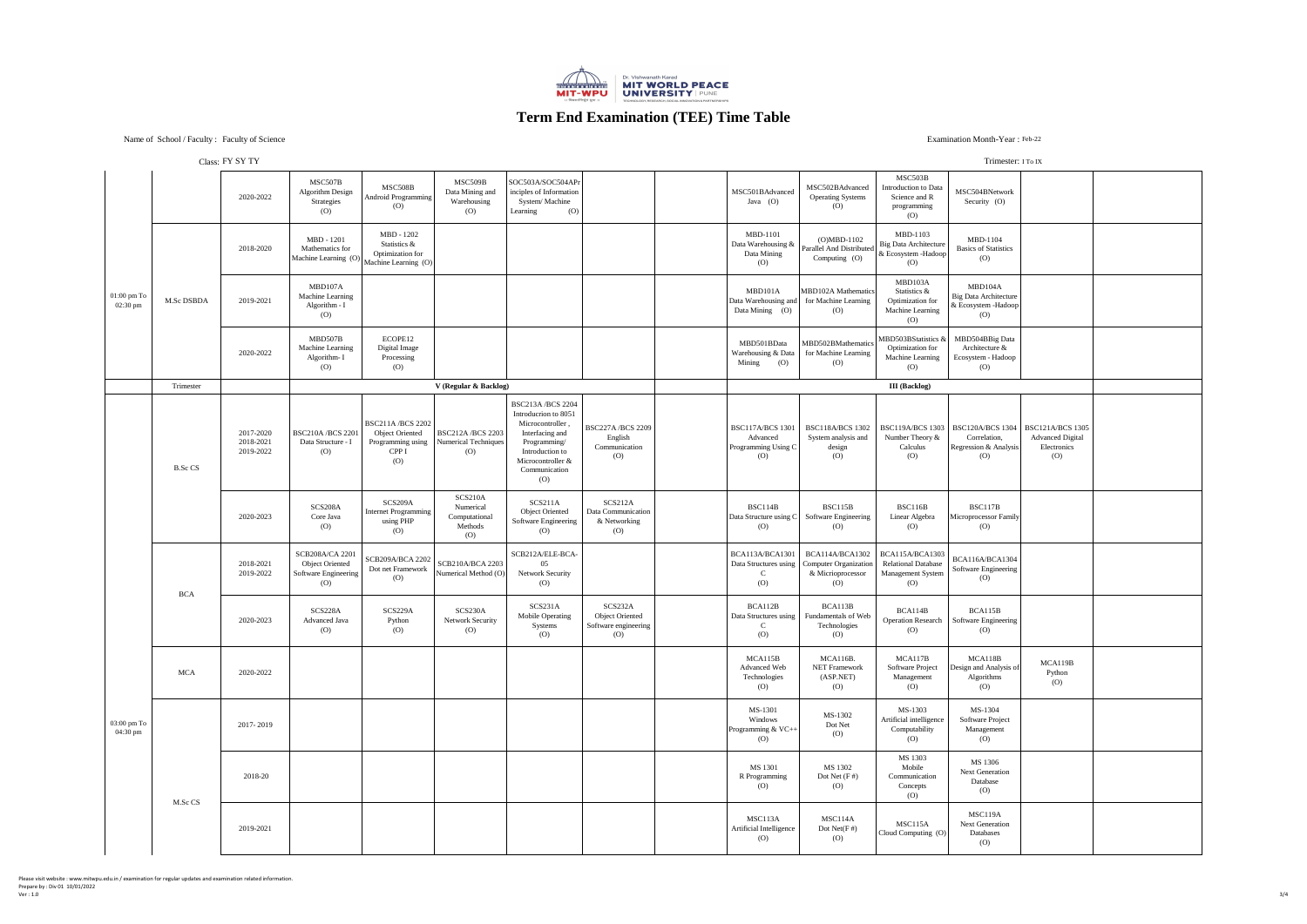# **Term End Examination (TEE) Time Table**

## Examination Month-Year: Feb-22

#### Trimester: I To IX

## Name of School / Faculty : Faculty of Science

|                                                       |                | $C1433.11$ D I II                   |                                                                                         |                                                                                        |                                                               |                                                                                                                                                                        |                                                                  |                                                                   |                                                                                         |                                                                                                      | $111111 \cup 1011$ , $11011$                                                                           |                                               |  |
|-------------------------------------------------------|----------------|-------------------------------------|-----------------------------------------------------------------------------------------|----------------------------------------------------------------------------------------|---------------------------------------------------------------|------------------------------------------------------------------------------------------------------------------------------------------------------------------------|------------------------------------------------------------------|-------------------------------------------------------------------|-----------------------------------------------------------------------------------------|------------------------------------------------------------------------------------------------------|--------------------------------------------------------------------------------------------------------|-----------------------------------------------|--|
|                                                       |                | 2020-2022                           | MSC507B<br><b>Algorithm Design</b><br>Strategies<br>(0)                                 | MSC508B<br><b>Android Programming</b><br>$\left( 0\right)$                             | MSC509B<br>Data Mining and<br>Warehousing<br>(O)              | SOC503A/SOC504APr<br>inciples of Information<br>System/Machine<br>(O)<br>Learning                                                                                      |                                                                  | MSC501BAdvanced<br>Java $(O)$                                     | MSC502BAdvanced<br><b>Operating Systems</b><br>(0)                                      | MSC503B<br>Introduction to Data<br>Science and R<br>programming<br>(O)                               | MSC504BNetwork<br>Security (O)                                                                         |                                               |  |
| $01:00~\mathrm{pm}~\mathrm{To}$<br>$02:30 \text{ pm}$ |                | 2018-2020                           | MBD - 1201<br>Mathematics for<br>$ {\text{Machine Learning (O)}} $ Machine Learning (O) | MBD - 1202<br>Statistics &<br><b>Optimization</b> for                                  |                                                               |                                                                                                                                                                        |                                                                  | <b>MBD-1101</b><br>Data Warehousing &<br>Data Mining<br>(O)       | $(O)MBD-1102$<br><b>Parallel And Distributed</b><br>Computing (O)                       | MBD-1103<br>Big Data Architecture<br>& Ecosystem - Hadoop<br>(0)                                     | <b>MBD-1104</b><br><b>Basics of Statistics</b><br>$\left( 0\right)$                                    |                                               |  |
|                                                       | M.Sc DSBDA     | 2019-2021                           | MBD107A<br><b>Machine Learning</b><br>Algorithm - I<br>$\left( 0\right)$                |                                                                                        |                                                               |                                                                                                                                                                        |                                                                  | MBD101A<br>Data Warehousing and<br>Data Mining (O)                | MBD102A Mathematics<br>for Machine Learning<br>(O)                                      | MBD103A<br>Statistics &<br>Optimization for<br><b>Machine Learning</b><br>(0)                        | MBD104A<br>Big Data Architecture<br>& Ecosystem - Hadoop<br>$\left( 0\right)$                          |                                               |  |
|                                                       |                | 2020-2022                           | MBD507B<br><b>Machine Learning</b><br>Algorithm- I<br>$\left( 0\right)$                 | ECOPE12<br>Digital Image<br>Processing<br>(0)                                          |                                                               |                                                                                                                                                                        |                                                                  | MBD501BData<br>Warehousing & Data<br>Mining<br>(0)                | MBD502BMathematics<br>for Machine Learning<br>(0)                                       | MBD503BStatistics &<br><b>Optimization</b> for<br><b>Machine Learning</b><br>(O)                     | MBD504BBig Data<br>Architecture &<br>Ecosystem - Hadoop<br>$\left( 0\right)$                           |                                               |  |
|                                                       | Trimester      |                                     |                                                                                         |                                                                                        | V (Regular & Backlog)                                         |                                                                                                                                                                        |                                                                  |                                                                   |                                                                                         | <b>III</b> (Backlog)                                                                                 |                                                                                                        |                                               |  |
| $03:00 \text{ pm}$ To<br>04:30 pm                     | <b>B.Sc CS</b> | 2017-2020<br>2018-2021<br>2019-2022 | <b>BSC210A/BCS 2201</b><br>Data Structure - I<br>(O)                                    | <b>BSC211A/BCS 2202</b><br><b>Object Oriented</b><br>Programming using<br>CPP I<br>(O) | <b>BSC212A/BCS 2203</b><br><b>Numerical Techniques</b><br>(O) | <b>BSC213A/BCS 2204</b><br>Introducrion to 8051<br>Microcontroller,<br>Interfacing and<br>Programming/<br>Introduction to<br>Microcontroller &<br>Communication<br>(O) | <b>BSC227A/BCS 2209</b><br>English<br>Communication<br>(0)       | <b>BSC117A/BCS 1301</b><br>Advanced<br>Programming Using C<br>(O) | <b>BSC118A/BCS 1302</b><br>System analysis and<br>design<br>$\left( 0\right)$           | Number Theory &<br>Calculus<br>$\overline{O}$                                                        | BSC119A/BCS 1303   BSC120A/BCS 1304   BSC121A/BCS 1305<br>Correlation,<br>Regression & Analysis<br>(O) | <b>Advanced Digital</b><br>Electronics<br>(O) |  |
|                                                       |                | 2020-2023                           | SCS208A<br>Core Java<br>(O)                                                             | SCS209A<br>Internet Programming<br>using PHP<br>$\left( 0\right)$                      | SCS210A<br>Numerical<br>Computational<br>Methods<br>(O)       | SCS211A<br><b>Object Oriented</b><br><b>Software Engineering</b><br>(0)                                                                                                | SCS212A<br>Data Communication<br>& Networking<br>(0)             | <b>BSC114B</b><br>Data Structure using C<br>(O)                   | BSC115B<br><b>Software Engineering</b><br>(O)                                           | BSC116B<br>Linear Algebra<br>(0)                                                                     | BSC117B<br>Microprocessor Family<br>(0)                                                                |                                               |  |
|                                                       | <b>BCA</b>     | 2018-2021<br>2019-2022              | <b>SCB208A/CA 2201</b><br><b>Object Oriented</b><br>Software Engineering<br>(O)         | SCB209A/BCA 2202<br>Dot net Framework<br>(O)                                           | <b>SCB210A/BCA 2203</b><br>Numerical Method (O)               | SCB212A/ELE-BCA-<br>05<br><b>Network Security</b><br>(O)                                                                                                               |                                                                  | BCA113A/BCA1301<br>(O)                                            | Data Structures using   Computer Organization<br>& Micrioprocessor<br>$\left( 0\right)$ | BCA114A/BCA1302   BCA115A/BCA1303  <br><b>Relational Database</b><br><b>Management System</b><br>(O) | BCA116A/BCA1304<br><b>Software Engineering</b><br>(0)                                                  |                                               |  |
|                                                       |                | 2020-2023                           | SCS228A<br><b>Advanced Java</b><br>(O)                                                  | SCS229A<br>Python<br>(O)                                                               | SCS230A<br><b>Network Security</b><br>(O)                     | SCS231A<br><b>Mobile Operating</b><br>Systems<br>(0)                                                                                                                   | SCS232A<br><b>Object Oriented</b><br>Software engineering<br>(0) | BCA112B<br>Data Structures using<br>(O)                           | BCA113B<br>Fundamentals of Web<br>Technologies<br>(O)                                   | BCA114B<br><b>Operation Research</b><br>(0)                                                          | BCA115B<br>Software Engineering<br>(0)                                                                 |                                               |  |
|                                                       | <b>MCA</b>     | 2020-2022                           |                                                                                         |                                                                                        |                                                               |                                                                                                                                                                        |                                                                  | MCA115B<br><b>Advanced Web</b><br>Technologies<br>(O)             | MCA116B.<br><b>NET Framework</b><br>(ASP.NET)<br>(O)                                    | MCA117B<br>Software Project<br>Management<br>$\left( 0\right)$                                       | MCA118B<br>Design and Analysis of<br>Algorithms<br>(0)                                                 | MCA119B<br>Python<br>$\left( 0\right)$        |  |
|                                                       |                | 2017-2019                           |                                                                                         |                                                                                        |                                                               |                                                                                                                                                                        |                                                                  | MS-1301<br>Windows<br>Programming & VC++<br>(O)                   | MS-1302<br>Dot Net<br>$\left( 0\right)$                                                 | MS-1303<br>Artificial intelligence<br>Computability<br>(0)                                           | MS-1304<br>Software Project<br>Management<br>$\left( 0\right)$                                         |                                               |  |
|                                                       |                | 2018-20                             |                                                                                         |                                                                                        |                                                               |                                                                                                                                                                        |                                                                  | MS 1301<br>R Programming<br>(O)                                   | MS 1302<br>Dot Net $(F#)$<br>(O)                                                        | MS 1303<br>Mobile<br>Communication<br>Concepts<br>(O)                                                | MS 1306<br><b>Next Generation</b><br>Database<br>$\left( 0\right)$                                     |                                               |  |
|                                                       | M.Sc CS        | 2019-2021                           |                                                                                         |                                                                                        |                                                               |                                                                                                                                                                        |                                                                  | MSC113A<br>Artificial Intelligence<br>(O)                         | MSC114A<br>Dot $Net(F#)$<br>(O)                                                         | MSC115A<br>Cloud Computing (O)                                                                       | MSC119A<br><b>Next Generation</b><br>Databases<br>$\left( 0\right)$                                    |                                               |  |
|                                                       |                |                                     |                                                                                         |                                                                                        |                                                               |                                                                                                                                                                        |                                                                  |                                                                   |                                                                                         |                                                                                                      |                                                                                                        |                                               |  |

Class: FY SY TY

Please visit website : www.mitwpu.edu.in / examination for regular updates and examination related information. Prepare by : Div 01 10/01/2022 Ver : 1.0 3/4